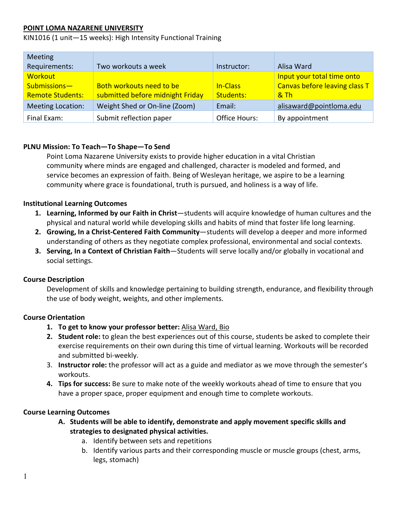## **POINT LOMA NAZARENE UNIVERSITY**

KIN1016 (1 unit—15 weeks): High Intensity Functional Training

| <b>Meeting</b>           |                                  |               |                               |
|--------------------------|----------------------------------|---------------|-------------------------------|
| Requirements:            | Two workouts a week              | Instructor:   | Alisa Ward                    |
| Workout                  |                                  |               | Input your total time onto    |
| Submissions-             | Both workouts need to be         | In-Class      | Canvas before leaving class T |
| <b>Remote Students:</b>  | submitted before midnight Friday | Students:     | & Th                          |
| <b>Meeting Location:</b> | Weight Shed or On-line (Zoom)    | Email:        | alisaward@pointloma.edu       |
| Final Exam:              | Submit reflection paper          | Office Hours: | By appointment                |

### **PLNU Mission: To Teach—To Shape—To Send**

Point Loma Nazarene University exists to provide higher education in a vital Christian community where minds are engaged and challenged, character is modeled and formed, and service becomes an expression of faith. Being of Wesleyan heritage, we aspire to be a learning community where grace is foundational, truth is pursued, and holiness is a way of life.

### **Institutional Learning Outcomes**

- **1. Learning, Informed by our Faith in Christ**—students will acquire knowledge of human cultures and the physical and natural world while developing skills and habits of mind that foster life long learning.
- **2. Growing, In a Christ-Centered Faith Community**—students will develop a deeper and more informed understanding of others as they negotiate complex professional, environmental and social contexts.
- **3. Serving, In a Context of Christian Faith**—Students will serve locally and/or globally in vocational and social settings.

### **Course Description**

Development of skills and knowledge pertaining to building strength, endurance, and flexibility through the use of body weight, weights, and other implements.

### **Course Orientation**

- **1. To get to know your professor better:** [Alisa Ward, Bio](https://www.pointloma.edu/faculty/alisa-ward-ma)
- **2. Student role:** to glean the best experiences out of this course, students be asked to complete their exercise requirements on their own during this time of virtual learning. Workouts will be recorded and submitted bi-weekly.
- 3. **Instructor role:** the professor will act as a guide and mediator as we move through the semester's workouts.
- **4. Tips for success:** Be sure to make note of the weekly workouts ahead of time to ensure that you have a proper space, proper equipment and enough time to complete workouts.

### **Course Learning Outcomes**

- **A. Students will be able to identify, demonstrate and apply movement specific skills and strategies to designated physical activities.**
	- a. Identify between sets and repetitions
	- b. Identify various parts and their corresponding muscle or muscle groups (chest, arms, legs, stomach)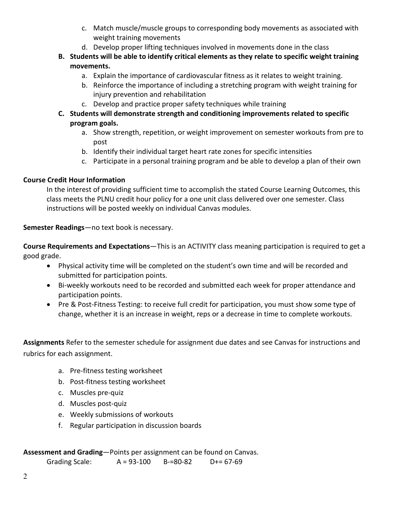- c. Match muscle/muscle groups to corresponding body movements as associated with weight training movements
- d. Develop proper lifting techniques involved in movements done in the class
- **B. Students will be able to identify critical elements as they relate to specific weight training movements.**
	- a. Explain the importance of cardiovascular fitness as it relates to weight training.
	- b. Reinforce the importance of including a stretching program with weight training for injury prevention and rehabilitation
	- c. Develop and practice proper safety techniques while training
- **C. Students will demonstrate strength and conditioning improvements related to specific program goals.**
	- a. Show strength, repetition, or weight improvement on semester workouts from pre to post
	- b. Identify their individual target heart rate zones for specific intensities
	- c. Participate in a personal training program and be able to develop a plan of their own

# **Course Credit Hour Information**

In the interest of providing sufficient time to accomplish the stated Course Learning Outcomes, this class meets the PLNU credit hour policy for a one unit class delivered over one semester. Class instructions will be posted weekly on individual Canvas modules.

# **Semester Readings**—no text book is necessary.

**Course Requirements and Expectations**—This is an ACTIVITY class meaning participation is required to get a good grade.

- Physical activity time will be completed on the student's own time and will be recorded and submitted for participation points.
- Bi-weekly workouts need to be recorded and submitted each week for proper attendance and participation points.
- Pre & Post-Fitness Testing: to receive full credit for participation, you must show some type of change, whether it is an increase in weight, reps or a decrease in time to complete workouts.

**Assignments** Refer to the semester schedule for assignment due dates and see Canvas for instructions and rubrics for each assignment.

- a. Pre-fitness testing worksheet
- b. Post-fitness testing worksheet
- c. Muscles pre-quiz
- d. Muscles post-quiz
- e. Weekly submissions of workouts
- f. Regular participation in discussion boards

# **Assessment and Grading**—Points per assignment can be found on Canvas.

Grading Scale: A = 93-100 B-=80-82 D+= 67-69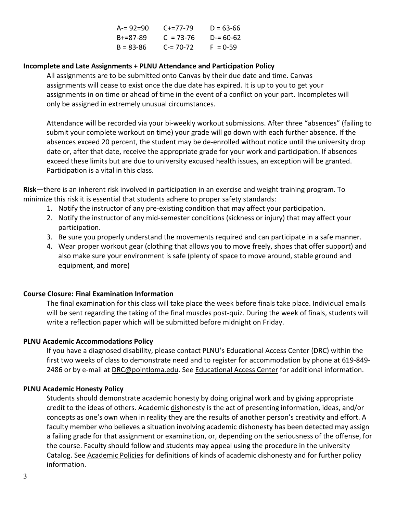| $A = 92 = 90$   | $C_{+}=77-79$ | $D = 63 - 66$ |
|-----------------|---------------|---------------|
| $B + = 87 - 89$ | $C = 73 - 76$ | $D = 60 - 62$ |
| $B = 83 - 86$   | $C = 70-72$   | $F = 0.59$    |

### **Incomplete and Late Assignments + PLNU Attendance and Participation Policy**

All assignments are to be submitted onto Canvas by their due date and time. Canvas assignments will cease to exist once the due date has expired. It is up to you to get your assignments in on time or ahead of time in the event of a conflict on your part. Incompletes will only be assigned in extremely unusual circumstances.

Attendance will be recorded via your bi-weekly workout submissions. After three "absences" (failing to submit your complete workout on time) your grade will go down with each further absence. If the absences exceed 20 percent, the student may be de-enrolled without notice until the university drop date or, after that date, receive the appropriate grade for your work and participation. If absences exceed these limits but are due to university excused health issues, an exception will be granted. Participation is a vital in this class.

**Risk**—there is an inherent risk involved in participation in an exercise and weight training program. To minimize this risk it is essential that students adhere to proper safety standards:

- 1. Notify the instructor of any pre-existing condition that may affect your participation.
- 2. Notify the instructor of any mid-semester conditions (sickness or injury) that may affect your participation.
- 3. Be sure you properly understand the movements required and can participate in a safe manner.
- 4. Wear proper workout gear (clothing that allows you to move freely, shoes that offer support) and also make sure your environment is safe (plenty of space to move around, stable ground and equipment, and more)

## **Course Closure: Final Examination Information**

The final examination for this class will take place the week before finals take place. Individual emails will be sent regarding the taking of the final muscles post-quiz. During the week of finals, students will write a reflection paper which will be submitted before midnight on Friday.

## **PLNU Academic Accommodations Policy**

If you have a diagnosed disability, please contact PLNU's Educational Access Center (DRC) within the first two weeks of class to demonstrate need and to register for accommodation by phone at 619-849- 2486 or by e-mail at [DRC@pointloma.edu.](mailto:DRC@pointloma.edu) See [Educational Access Center](http://www.pointloma.edu/experience/offices/administrative-offices/academic-advising-office/disability-resource-center) for additional information.

### **PLNU Academic Honesty Policy**

Students should demonstrate academic honesty by doing original work and by giving appropriate credit to the ideas of others. Academic dishonesty is the act of presenting information, ideas, and/or concepts as one's own when in reality they are the results of another person's creativity and effort. A faculty member who believes a situation involving academic dishonesty has been detected may assign a failing grade for that assignment or examination, or, depending on the seriousness of the offense, for the course. Faculty should follow and students may appeal using the procedure in the university Catalog. See [Academic Policies](http://catalog.pointloma.edu/content.php?catoid=18&navoid=1278) for definitions of kinds of academic dishonesty and for further policy information.